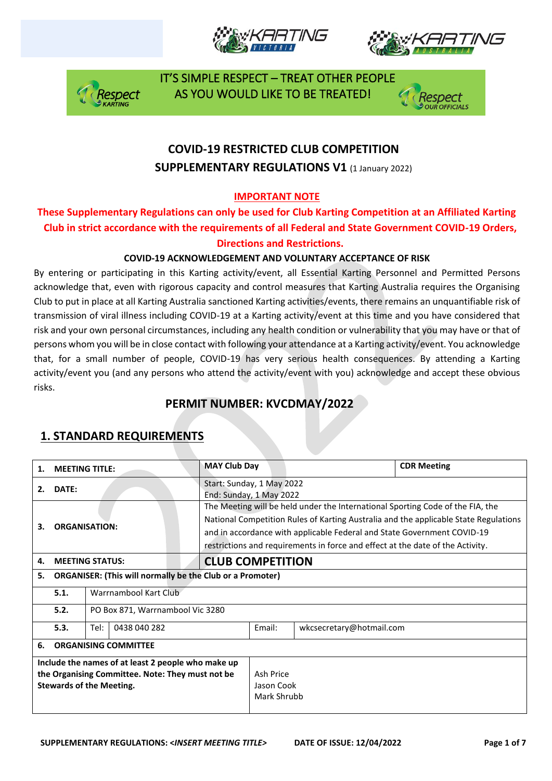







# **COVID-19 RESTRICTED CLUB COMPETITION SUPPLEMENTARY REGULATIONS V1 (1 January 2022)**

### **IMPORTANT NOTE**

### **These Supplementary Regulations can only be used for Club Karting Competition at an Affiliated Karting Club in strict accordance with the requirements of all Federal and State Government COVID-19 Orders, Directions and Restrictions.**

#### **COVID-19 ACKNOWLEDGEMENT AND VOLUNTARY ACCEPTANCE OF RISK**

By entering or participating in this Karting activity/event, all Essential Karting Personnel and Permitted Persons acknowledge that, even with rigorous capacity and control measures that Karting Australia requires the Organising Club to put in place at all Karting Australia sanctioned Karting activities/events, there remains an unquantifiable risk of transmission of viral illness including COVID-19 at a Karting activity/event at this time and you have considered that risk and your own personal circumstances, including any health condition or vulnerability that you may have or that of persons whom you will be in close contact with following your attendance at a Karting activity/event. You acknowledge that, for a small number of people, COVID-19 has very serious health consequences. By attending a Karting activity/event you (and any persons who attend the activity/event with you) acknowledge and accept these obvious risks.

# **PERMIT NUMBER: KVCDMAY/2022**

| 1.                                                                                                                                        | <b>MEETING TITLE:</b>                    |                                                                                                                                                                                                                                                                                                                                     | <b>MAY Club Day</b>                                  |  |                          | <b>CDR Meeting</b> |  |
|-------------------------------------------------------------------------------------------------------------------------------------------|------------------------------------------|-------------------------------------------------------------------------------------------------------------------------------------------------------------------------------------------------------------------------------------------------------------------------------------------------------------------------------------|------------------------------------------------------|--|--------------------------|--------------------|--|
| 2.                                                                                                                                        | DATE:                                    |                                                                                                                                                                                                                                                                                                                                     | Start: Sunday, 1 May 2022<br>End: Sunday, 1 May 2022 |  |                          |                    |  |
| <b>ORGANISATION:</b><br>3.                                                                                                                |                                          | The Meeting will be held under the International Sporting Code of the FIA, the<br>National Competition Rules of Karting Australia and the applicable State Regulations<br>and in accordance with applicable Federal and State Government COVID-19<br>restrictions and requirements in force and effect at the date of the Activity. |                                                      |  |                          |                    |  |
| 4.                                                                                                                                        |                                          | <b>MEETING STATUS:</b>                                                                                                                                                                                                                                                                                                              | <b>CLUB COMPETITION</b>                              |  |                          |                    |  |
| <b>ORGANISER: (This will normally be the Club or a Promoter)</b><br>5.                                                                    |                                          |                                                                                                                                                                                                                                                                                                                                     |                                                      |  |                          |                    |  |
|                                                                                                                                           | 5.1.                                     | Warrnambool Kart Club                                                                                                                                                                                                                                                                                                               |                                                      |  |                          |                    |  |
|                                                                                                                                           | 5.2.<br>PO Box 871, Warrnambool Vic 3280 |                                                                                                                                                                                                                                                                                                                                     |                                                      |  |                          |                    |  |
|                                                                                                                                           | 5.3.                                     | 0438 040 282<br>Tel:                                                                                                                                                                                                                                                                                                                |                                                      |  | wkcsecretary@hotmail.com |                    |  |
| 6.                                                                                                                                        | <b>ORGANISING COMMITTEE</b>              |                                                                                                                                                                                                                                                                                                                                     |                                                      |  |                          |                    |  |
| Include the names of at least 2 people who make up<br>the Organising Committee. Note: They must not be<br><b>Stewards of the Meeting.</b> |                                          |                                                                                                                                                                                                                                                                                                                                     | Ash Price<br>Jason Cook<br>Mark Shrubb               |  |                          |                    |  |

# **1. STANDARD REQUIREMENTS**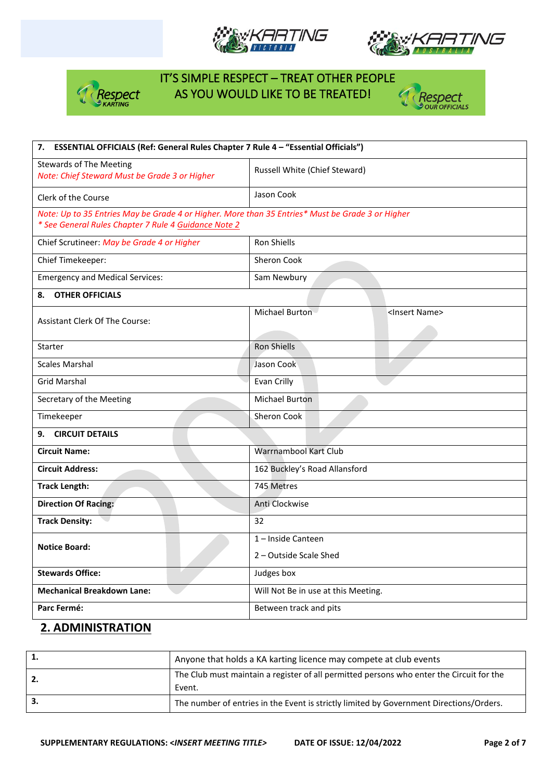







| 7. ESSENTIAL OFFICIALS (Ref: General Rules Chapter 7 Rule 4 - "Essential Officials")                                                                     |                                     |                           |  |  |  |  |
|----------------------------------------------------------------------------------------------------------------------------------------------------------|-------------------------------------|---------------------------|--|--|--|--|
| <b>Stewards of The Meeting</b><br>Note: Chief Steward Must be Grade 3 or Higher                                                                          | Russell White (Chief Steward)       |                           |  |  |  |  |
| Clerk of the Course                                                                                                                                      | Jason Cook                          |                           |  |  |  |  |
| Note: Up to 35 Entries May be Grade 4 or Higher. More than 35 Entries* Must be Grade 3 or Higher<br>* See General Rules Chapter 7 Rule 4 Guidance Note 2 |                                     |                           |  |  |  |  |
| Chief Scrutineer: May be Grade 4 or Higher                                                                                                               | Ron Shiells                         |                           |  |  |  |  |
| Chief Timekeeper:                                                                                                                                        | Sheron Cook                         |                           |  |  |  |  |
| <b>Emergency and Medical Services:</b>                                                                                                                   | Sam Newbury                         |                           |  |  |  |  |
| <b>OTHER OFFICIALS</b><br>8.                                                                                                                             |                                     |                           |  |  |  |  |
| <b>Assistant Clerk Of The Course:</b>                                                                                                                    | Michael Burton                      | <insert name=""></insert> |  |  |  |  |
|                                                                                                                                                          |                                     |                           |  |  |  |  |
| Starter                                                                                                                                                  | Ron Shiells                         |                           |  |  |  |  |
| <b>Scales Marshal</b>                                                                                                                                    | Jason Cook                          |                           |  |  |  |  |
| <b>Grid Marshal</b>                                                                                                                                      | Evan Crilly                         |                           |  |  |  |  |
| Secretary of the Meeting                                                                                                                                 | <b>Michael Burton</b>               |                           |  |  |  |  |
| Timekeeper                                                                                                                                               | <b>Sheron Cook</b>                  |                           |  |  |  |  |
| <b>CIRCUIT DETAILS</b><br>9.                                                                                                                             |                                     |                           |  |  |  |  |
| <b>Circuit Name:</b>                                                                                                                                     | Warrnambool Kart Club               |                           |  |  |  |  |
| <b>Circuit Address:</b>                                                                                                                                  | 162 Buckley's Road Allansford       |                           |  |  |  |  |
| <b>Track Length:</b>                                                                                                                                     | 745 Metres                          |                           |  |  |  |  |
| <b>Direction Of Racing:</b>                                                                                                                              | Anti Clockwise                      |                           |  |  |  |  |
| <b>Track Density:</b>                                                                                                                                    | 32                                  |                           |  |  |  |  |
| <b>Notice Board:</b>                                                                                                                                     | 1-Inside Canteen                    |                           |  |  |  |  |
|                                                                                                                                                          | 2 - Outside Scale Shed              |                           |  |  |  |  |
| <b>Stewards Office:</b>                                                                                                                                  | Judges box                          |                           |  |  |  |  |
| <b>Mechanical Breakdown Lane:</b>                                                                                                                        | Will Not Be in use at this Meeting. |                           |  |  |  |  |
| Parc Fermé:                                                                                                                                              | Between track and pits              |                           |  |  |  |  |

### **2. ADMINISTRATION**

| Anyone that holds a KA karting licence may compete at club events                                  |
|----------------------------------------------------------------------------------------------------|
| The Club must maintain a register of all permitted persons who enter the Circuit for the<br>Event. |
| The number of entries in the Event is strictly limited by Government Directions/Orders.            |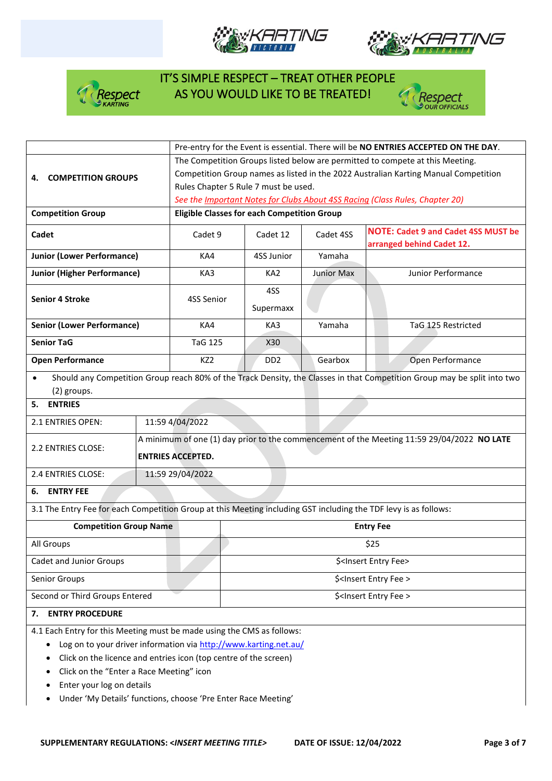







|                                                                                                                  |                                                                                     | Pre-entry for the Event is essential. There will be NO ENTRIES ACCEPTED ON THE DAY.        |                                      |                   |                                                                                                                          |  |  |  |
|------------------------------------------------------------------------------------------------------------------|-------------------------------------------------------------------------------------|--------------------------------------------------------------------------------------------|--------------------------------------|-------------------|--------------------------------------------------------------------------------------------------------------------------|--|--|--|
|                                                                                                                  |                                                                                     | The Competition Groups listed below are permitted to compete at this Meeting.              |                                      |                   |                                                                                                                          |  |  |  |
| <b>COMPETITION GROUPS</b><br>4.                                                                                  | Competition Group names as listed in the 2022 Australian Karting Manual Competition |                                                                                            |                                      |                   |                                                                                                                          |  |  |  |
|                                                                                                                  |                                                                                     | Rules Chapter 5 Rule 7 must be used.                                                       |                                      |                   |                                                                                                                          |  |  |  |
|                                                                                                                  |                                                                                     |                                                                                            |                                      |                   | See the <i>Important Notes for Clubs About 4SS Racing (Class Rules, Chapter 20)</i>                                      |  |  |  |
| <b>Competition Group</b>                                                                                         |                                                                                     | <b>Eligible Classes for each Competition Group</b>                                         |                                      |                   |                                                                                                                          |  |  |  |
| Cadet                                                                                                            |                                                                                     | Cadet 9                                                                                    | Cadet 12                             | Cadet 4SS         | <b>NOTE: Cadet 9 and Cadet 4SS MUST be</b><br>arranged behind Cadet 12.                                                  |  |  |  |
| <b>Junior (Lower Performance)</b>                                                                                |                                                                                     | KA4                                                                                        | 4SS Junior                           | Yamaha            |                                                                                                                          |  |  |  |
| <b>Junior (Higher Performance)</b>                                                                               |                                                                                     | KA3                                                                                        | KA <sub>2</sub>                      | <b>Junior Max</b> | Junior Performance                                                                                                       |  |  |  |
|                                                                                                                  |                                                                                     |                                                                                            | 4SS                                  |                   |                                                                                                                          |  |  |  |
| <b>Senior 4 Stroke</b>                                                                                           |                                                                                     | 4SS Senior                                                                                 | Supermaxx                            |                   |                                                                                                                          |  |  |  |
| <b>Senior (Lower Performance)</b>                                                                                |                                                                                     | KA4                                                                                        | KA3                                  | Yamaha            | TaG 125 Restricted                                                                                                       |  |  |  |
| <b>Senior TaG</b>                                                                                                |                                                                                     | <b>TaG 125</b>                                                                             | X30                                  |                   |                                                                                                                          |  |  |  |
| <b>Open Performance</b>                                                                                          |                                                                                     | KZ <sub>2</sub>                                                                            | D <sub>D</sub> <sub>2</sub>          | Gearbox           | Open Performance                                                                                                         |  |  |  |
| $\bullet$                                                                                                        |                                                                                     |                                                                                            |                                      |                   | Should any Competition Group reach 80% of the Track Density, the Classes in that Competition Group may be split into two |  |  |  |
| (2) groups.                                                                                                      |                                                                                     |                                                                                            |                                      |                   |                                                                                                                          |  |  |  |
| <b>ENTRIES</b><br>5.                                                                                             |                                                                                     |                                                                                            |                                      |                   |                                                                                                                          |  |  |  |
| 2.1 ENTRIES OPEN:                                                                                                |                                                                                     | 11:59 4/04/2022                                                                            |                                      |                   |                                                                                                                          |  |  |  |
|                                                                                                                  |                                                                                     | A minimum of one (1) day prior to the commencement of the Meeting 11:59 29/04/2022 NO LATE |                                      |                   |                                                                                                                          |  |  |  |
| 2.2 ENTRIES CLOSE:                                                                                               |                                                                                     | <b>ENTRIES ACCEPTED.</b>                                                                   |                                      |                   |                                                                                                                          |  |  |  |
| 2.4 ENTRIES CLOSE:                                                                                               |                                                                                     | 11:59 29/04/2022                                                                           |                                      |                   |                                                                                                                          |  |  |  |
| 6. ENTRY FEE                                                                                                     |                                                                                     |                                                                                            |                                      |                   |                                                                                                                          |  |  |  |
| 3.1 The Entry Fee for each Competition Group at this Meeting including GST including the TDF levy is as follows: |                                                                                     |                                                                                            |                                      |                   |                                                                                                                          |  |  |  |
| <b>Competition Group Name</b>                                                                                    | <b>Entry Fee</b>                                                                    |                                                                                            |                                      |                   |                                                                                                                          |  |  |  |
| All Groups                                                                                                       |                                                                                     |                                                                                            | \$25                                 |                   |                                                                                                                          |  |  |  |
| <b>Cadet and Junior Groups</b>                                                                                   |                                                                                     | \$ <insert entry="" fee=""></insert>                                                       |                                      |                   |                                                                                                                          |  |  |  |
| Senior Groups                                                                                                    |                                                                                     | \$ <insert entry="" fee=""></insert>                                                       |                                      |                   |                                                                                                                          |  |  |  |
| Second or Third Groups Entered                                                                                   |                                                                                     |                                                                                            | \$ <insert entry="" fee=""></insert> |                   |                                                                                                                          |  |  |  |
| <b>ENTRY PROCEDURE</b><br>7.                                                                                     |                                                                                     |                                                                                            |                                      |                   |                                                                                                                          |  |  |  |
| 4.1 Each Entry for this Meeting must be made using the CMS as follows:                                           |                                                                                     |                                                                                            |                                      |                   |                                                                                                                          |  |  |  |
| Log on to your driver information via http://www.karting.net.au/                                                 |                                                                                     |                                                                                            |                                      |                   |                                                                                                                          |  |  |  |

- Click on the licence and entries icon (top centre of the screen)
- Click on the "Enter a Race Meeting" icon
- Enter your log on details
- Under 'My Details' functions, choose 'Pre Enter Race Meeting'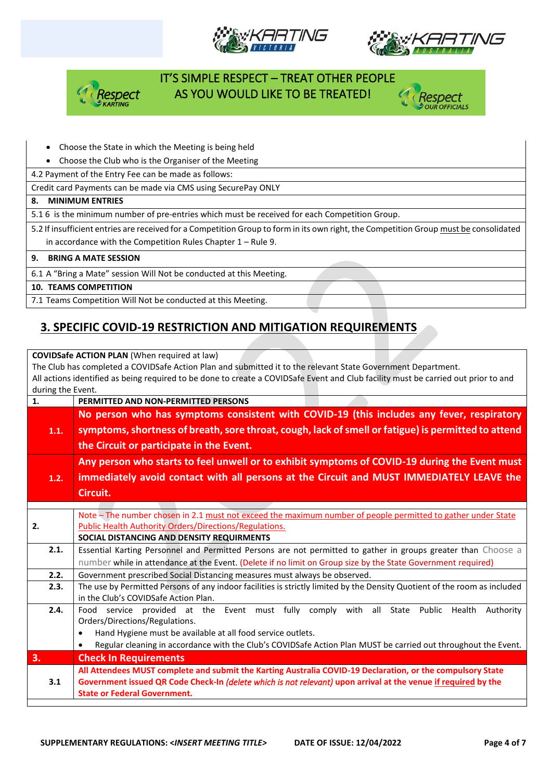







• Choose the State in which the Meeting is being held

• Choose the Club who is the Organiser of the Meeting

4.2 Payment of the Entry Fee can be made as follows:

Credit card Payments can be made via CMS using SecurePay ONLY

#### **8. MINIMUM ENTRIES**

5.1 6 is the minimum number of pre-entries which must be received for each Competition Group.

5.2 If insufficient entries are received for a Competition Group to form in its own right, the Competition Group must be consolidated in accordance with the Competition Rules Chapter 1 – Rule 9.

#### **9. BRING A MATE SESSION**

6.1 A "Bring a Mate" session Will Not be conducted at this Meeting.

#### **10. TEAMS COMPETITION**

7.1 Teams Competition Will Not be conducted at this Meeting.

#### **3. SPECIFIC COVID-19 RESTRICTION AND MITIGATION REQUIREMENTS**

**COVIDSafe ACTION PLAN** (When required at law) The Club has completed a COVIDSafe Action Plan and submitted it to the relevant State Government Department. All actions identified as being required to be done to create a COVIDSafe Event and Club facility must be carried out prior to and during the Event. **1. PERMITTED AND NON-PERMITTED PERSONS 1.1. No person who has symptoms consistent with COVID-19 (this includes any fever, respiratory symptoms, shortness of breath, sore throat, cough, lack of smell or fatigue) is permitted to attend the Circuit or participate in the Event. 1.2. Any person who starts to feel unwell or to exhibit symptoms of COVID-19 during the Event must immediately avoid contact with all persons at the Circuit and MUST IMMEDIATELY LEAVE the Circuit. 2.** Note – The number chosen in 2.1 must not exceed the maximum number of people permitted to gather under State Public Health Authority Orders/Directions/Regulations. **SOCIAL DISTANCING AND DENSITY REQUIRMENTS 2.1.** Essential Karting Personnel and Permitted Persons are not permitted to gather in groups greater than Choose a number while in attendance at the Event. (Delete if no limit on Group size by the State Government required) **2.2.** Government prescribed Social Distancing measures must always be observed. **2.3.** The use by Permitted Persons of any indoor facilities is strictly limited by the Density Quotient of the room as included in the Club's COVIDSafe Action Plan. 2.4. Food service provided at the Event must fully comply with all State Public Health Authority Orders/Directions/Regulations. • Hand Hygiene must be available at all food service outlets. • Regular cleaning in accordance with the Club's COVIDSafe Action Plan MUST be carried out throughout the Event. **3. Check In Requirements**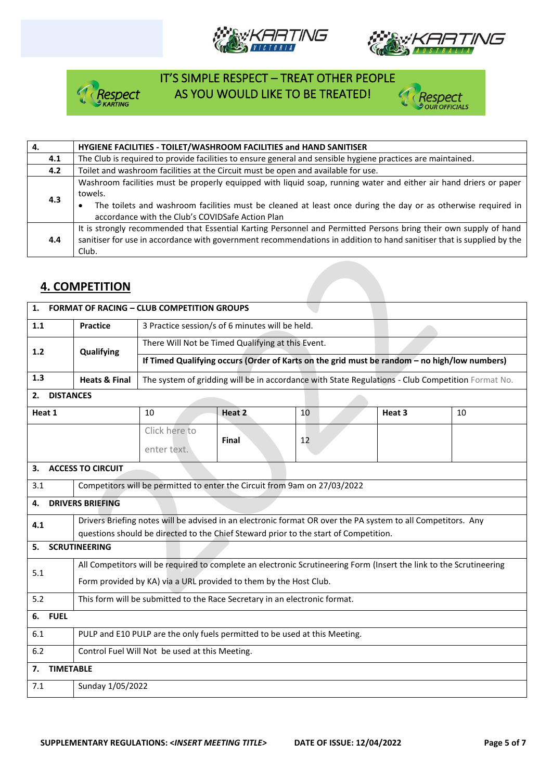







| 4.  | HYGIENE FACILITIES - TOILET/WASHROOM FACILITIES and HAND SANITISER                                                                                                                                                                                                                               |
|-----|--------------------------------------------------------------------------------------------------------------------------------------------------------------------------------------------------------------------------------------------------------------------------------------------------|
| 4.1 | The Club is required to provide facilities to ensure general and sensible hygiene practices are maintained.                                                                                                                                                                                      |
| 4.2 | Toilet and washroom facilities at the Circuit must be open and available for use.                                                                                                                                                                                                                |
| 4.3 | Washroom facilities must be properly equipped with liquid soap, running water and either air hand driers or paper<br>towels.<br>The toilets and washroom facilities must be cleaned at least once during the day or as otherwise required in<br>accordance with the Club's COVIDSafe Action Plan |
| 4.4 | It is strongly recommended that Essential Karting Personnel and Permitted Persons bring their own supply of hand<br>sanitiser for use in accordance with government recommendations in addition to hand sanitiser that is supplied by the<br>Club.                                               |

### **4. COMPETITION**

| <b>FORMAT OF RACING - CLUB COMPETITION GROUPS</b><br>1. |                                                                                                                     |                                                                                              |              |                                                                                                              |  |        |                                                                                                   |  |
|---------------------------------------------------------|---------------------------------------------------------------------------------------------------------------------|----------------------------------------------------------------------------------------------|--------------|--------------------------------------------------------------------------------------------------------------|--|--------|---------------------------------------------------------------------------------------------------|--|
| 1.1                                                     | <b>Practice</b>                                                                                                     | 3 Practice session/s of 6 minutes will be held.                                              |              |                                                                                                              |  |        |                                                                                                   |  |
| 1.2                                                     | Qualifying                                                                                                          | There Will Not be Timed Qualifying at this Event.                                            |              |                                                                                                              |  |        |                                                                                                   |  |
|                                                         |                                                                                                                     | If Timed Qualifying occurs (Order of Karts on the grid must be random - no high/low numbers) |              |                                                                                                              |  |        |                                                                                                   |  |
| 1.3                                                     | <b>Heats &amp; Final</b>                                                                                            |                                                                                              |              |                                                                                                              |  |        | The system of gridding will be in accordance with State Regulations - Club Competition Format No. |  |
| <b>DISTANCES</b><br>2.                                  |                                                                                                                     |                                                                                              |              |                                                                                                              |  |        |                                                                                                   |  |
| Heat 1                                                  |                                                                                                                     | 10                                                                                           | Heat 2       | 10                                                                                                           |  | Heat 3 | 10                                                                                                |  |
|                                                         |                                                                                                                     | Click here to                                                                                | <b>Final</b> | 12                                                                                                           |  |        |                                                                                                   |  |
|                                                         |                                                                                                                     | enter text.                                                                                  |              |                                                                                                              |  |        |                                                                                                   |  |
| 3.                                                      | <b>ACCESS TO CIRCUIT</b>                                                                                            |                                                                                              |              |                                                                                                              |  |        |                                                                                                   |  |
| 3.1                                                     |                                                                                                                     | Competitors will be permitted to enter the Circuit from 9am on 27/03/2022                    |              |                                                                                                              |  |        |                                                                                                   |  |
| 4.                                                      | <b>DRIVERS BRIEFING</b>                                                                                             |                                                                                              |              |                                                                                                              |  |        |                                                                                                   |  |
| 4.1                                                     |                                                                                                                     |                                                                                              |              | Drivers Briefing notes will be advised in an electronic format OR over the PA system to all Competitors. Any |  |        |                                                                                                   |  |
|                                                         | questions should be directed to the Chief Steward prior to the start of Competition.                                |                                                                                              |              |                                                                                                              |  |        |                                                                                                   |  |
| <b>SCRUTINEERING</b><br>5.                              |                                                                                                                     |                                                                                              |              |                                                                                                              |  |        |                                                                                                   |  |
| 5.1                                                     | All Competitors will be required to complete an electronic Scrutineering Form (Insert the link to the Scrutineering |                                                                                              |              |                                                                                                              |  |        |                                                                                                   |  |
|                                                         | Form provided by KA) via a URL provided to them by the Host Club.                                                   |                                                                                              |              |                                                                                                              |  |        |                                                                                                   |  |
| 5.2                                                     | This form will be submitted to the Race Secretary in an electronic format.                                          |                                                                                              |              |                                                                                                              |  |        |                                                                                                   |  |
| <b>FUEL</b><br>6.                                       |                                                                                                                     |                                                                                              |              |                                                                                                              |  |        |                                                                                                   |  |
| 6.1                                                     | PULP and E10 PULP are the only fuels permitted to be used at this Meeting.                                          |                                                                                              |              |                                                                                                              |  |        |                                                                                                   |  |
| 6.2                                                     | Control Fuel Will Not be used at this Meeting.                                                                      |                                                                                              |              |                                                                                                              |  |        |                                                                                                   |  |
| <b>TIMETABLE</b><br>7.                                  |                                                                                                                     |                                                                                              |              |                                                                                                              |  |        |                                                                                                   |  |
| 7.1                                                     | Sunday 1/05/2022                                                                                                    |                                                                                              |              |                                                                                                              |  |        |                                                                                                   |  |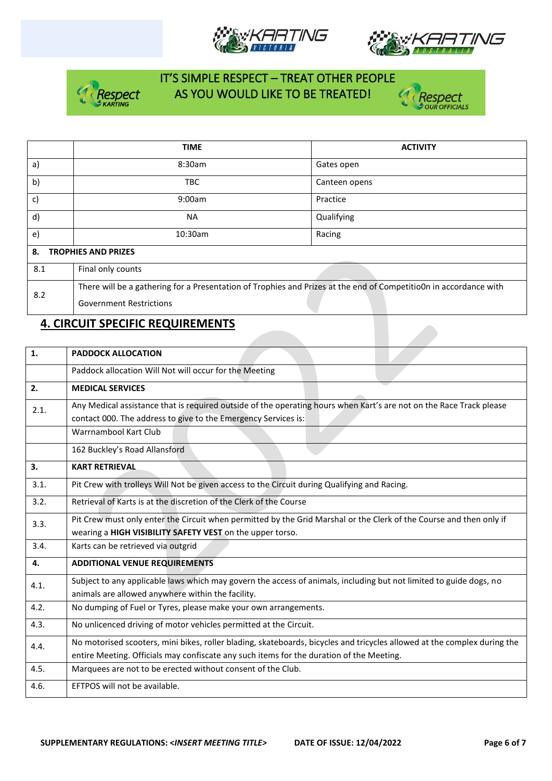







|              | <b>TIME</b>                                                                                                       | <b>ACTIVITY</b> |  |  |  |  |
|--------------|-------------------------------------------------------------------------------------------------------------------|-----------------|--|--|--|--|
| a)           | 8:30am                                                                                                            | Gates open      |  |  |  |  |
| b)           | <b>TBC</b>                                                                                                        | Canteen opens   |  |  |  |  |
| c)           | 9:00am                                                                                                            | Practice        |  |  |  |  |
| $\mathsf{d}$ | <b>NA</b>                                                                                                         | Qualifying      |  |  |  |  |
| $\epsilon$   | 10:30am                                                                                                           | Racing          |  |  |  |  |
| 8.           | <b>TROPHIES AND PRIZES</b>                                                                                        |                 |  |  |  |  |
| 8.1          | Final only counts                                                                                                 |                 |  |  |  |  |
| 8.2          | There will be a gathering for a Presentation of Trophies and Prizes at the end of Competitio0n in accordance with |                 |  |  |  |  |
|              | <b>Government Restrictions</b>                                                                                    |                 |  |  |  |  |

## **4. CIRCUIT SPECIFIC REQUIREMENTS**

| 1.   | <b>PADDOCK ALLOCATION</b>                                                                                                                                                             |  |  |  |  |  |  |
|------|---------------------------------------------------------------------------------------------------------------------------------------------------------------------------------------|--|--|--|--|--|--|
|      | Paddock allocation Will Not will occur for the Meeting                                                                                                                                |  |  |  |  |  |  |
| 2.   | <b>MEDICAL SERVICES</b>                                                                                                                                                               |  |  |  |  |  |  |
| 2.1. | Any Medical assistance that is required outside of the operating hours when Kart's are not on the Race Track please<br>contact 000. The address to give to the Emergency Services is: |  |  |  |  |  |  |
|      | Warrnambool Kart Club                                                                                                                                                                 |  |  |  |  |  |  |
|      | 162 Buckley's Road Allansford                                                                                                                                                         |  |  |  |  |  |  |
| 3.   | <b>KART RETRIEVAL</b>                                                                                                                                                                 |  |  |  |  |  |  |
| 3.1. | Pit Crew with trolleys Will Not be given access to the Circuit during Qualifying and Racing.                                                                                          |  |  |  |  |  |  |
| 3.2. | Retrieval of Karts is at the discretion of the Clerk of the Course                                                                                                                    |  |  |  |  |  |  |
| 3.3. | Pit Crew must only enter the Circuit when permitted by the Grid Marshal or the Clerk of the Course and then only if                                                                   |  |  |  |  |  |  |
|      | wearing a HIGH VISIBILITY SAFETY VEST on the upper torso.                                                                                                                             |  |  |  |  |  |  |
| 3.4. | Karts can be retrieved via outgrid                                                                                                                                                    |  |  |  |  |  |  |
| 4.   | <b>ADDITIONAL VENUE REQUIREMENTS</b>                                                                                                                                                  |  |  |  |  |  |  |
| 4.1. | Subject to any applicable laws which may govern the access of animals, including but not limited to guide dogs, no<br>animals are allowed anywhere within the facility.               |  |  |  |  |  |  |
| 4.2. | No dumping of Fuel or Tyres, please make your own arrangements.                                                                                                                       |  |  |  |  |  |  |
| 4.3. | No unlicenced driving of motor vehicles permitted at the Circuit.                                                                                                                     |  |  |  |  |  |  |
| 4.4. | No motorised scooters, mini bikes, roller blading, skateboards, bicycles and tricycles allowed at the complex during the                                                              |  |  |  |  |  |  |
|      | entire Meeting. Officials may confiscate any such items for the duration of the Meeting.                                                                                              |  |  |  |  |  |  |
| 4.5. | Marquees are not to be erected without consent of the Club.                                                                                                                           |  |  |  |  |  |  |
| 4.6. | EFTPOS will not be available.                                                                                                                                                         |  |  |  |  |  |  |